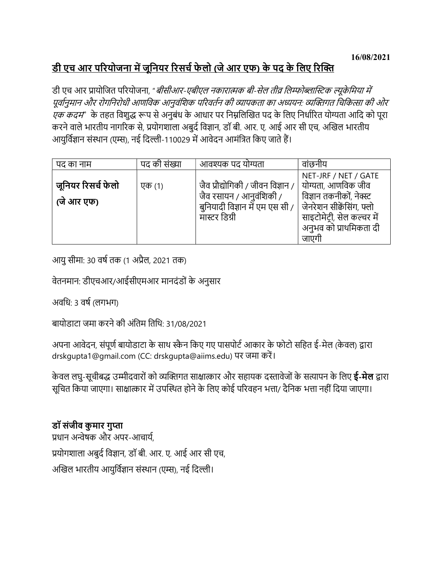## <u>डी एच आर परियोजना में जूनियर रिसर्च फेलो (जे आर एफ) के पद के लिए रिक्ति</u>

डी एच आर प्रायोजित परियोजना, "*बीसीआर-एबीएल नकारात्मक बी-सेल तीव्र लिम्फोब्लास्टिक ल्यूकेमिया में* पूर्वानुमान और रोगनिरोधी आणविक आनुवंशिक परिवर्तन की व्यापकता का अध्ययन: व्यक्तिगत चिकित्सा की ओर एक कदम" के तहत विशुद्ध रूप से अनुबंध के आधार पर निम्नलिखित पद के लिए निर्धारित योग्यता आदि को पूरा करने वाले भारतीय नागरिक से, प्रयोगशाला अबुर्द विज्ञान, डॉ बी. आर. ए. आई आर सी एच, अखिल भारतीय आयुर्विज्ञान संस्थान (एम्स), नई दिल्ली-110029 में आवेदन आमंत्रित किए जाते हैं।

| पद का नाम                        | पद की संख्या | आवश्यक पद योग्यता                                                                                                | वांछनीय                                                                                                                                                              |
|----------------------------------|--------------|------------------------------------------------------------------------------------------------------------------|----------------------------------------------------------------------------------------------------------------------------------------------------------------------|
| जूनियर रिसर्च फेलो<br>(जे आर एफ) | एक (1)       | जैव प्रौद्योगिकी / जीवन विज्ञान /<br>जैव रसायन / आनुवंशिकी /<br>बुनियादी विज्ञान में एम एस सी /<br>मास्टर डिग्री | NET-JRF / NET / GATE<br>योग्यता, आणविक जीव<br>विज्ञान तकनीकों, नेक्स्ट<br>जेनरेशन सीक्वेंसिंग, फ्लो<br>साइटोमेट्री, सेल कल्चर में<br>अनुभव को प्राथमिकता दी<br>जाएगी |

आयु सीमा: 30 वर्ष तक (1 अप्रैल, 2021 तक)

वेतनमान: डीएचआर/आईसीएमआर मानदंडों के अनुसार

अवधि: 3 वर्ष (लगभग)

बायोडाटा जमा करने की अंितम ितिथ: 31/08/2021

अपना आवेदन, संपूर्ण बायोडाटा के साथ स्कैन किए गए पासपोर्ट आकार के फोटो सहित ई-मेल (केवल) द्वारा drskgupta1@gmail.com (CC: drskgupta@aiims.edu) पर जमा करें।

केवल लघु-सूचीबद्ध उम्मीदवारों को व्यक्तिगत साक्षात्कार और सहायक दस्तावेजों के सत्यापन के लिए **ई-मेल** द्वारा सूचित किया जाएगा। साक्षात्कार में उपस्थित होने के लिए कोई परिवहन भत्ता/ दैनिक भत्ता नहीं दिया जाएगा।

## डॉ संजीव कुमार गुप्ता

प्रधान अन्वेषक और अपर-आचार्य, प्रयोगशाला अबुर्द विज्ञान, डॉ बी. आर. ए. आई आर सी एच, अखिल भारतीय आयुर्विज्ञान संस्थान (एम्स), नई दिल्ली।